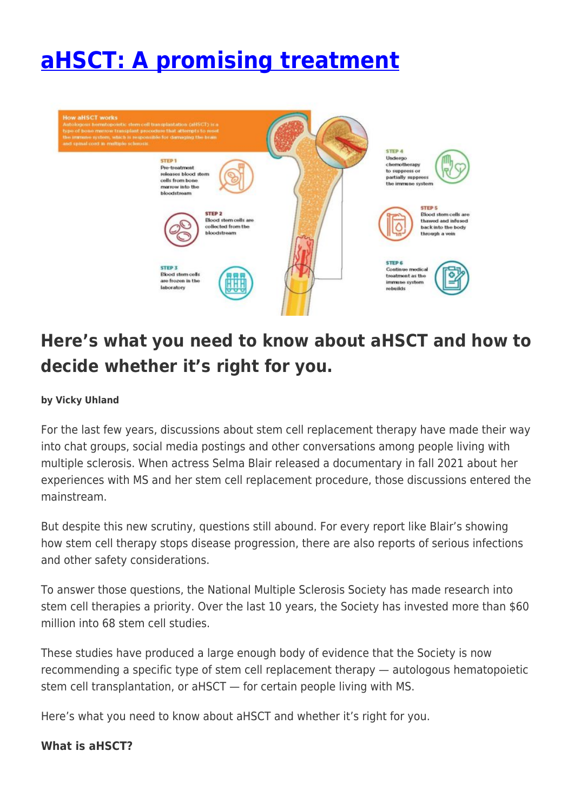# **[aHSCT: A promising treatment](https://momentummagazineonline.com/ahsct-a-promising-treatment/)**



# **Here's what you need to know about aHSCT and how to decide whether it's right for you.**

#### **by Vicky Uhland**

For the last few years, discussions about stem cell replacement therapy have made their way into chat groups, social media postings and other conversations among people living with multiple sclerosis. When actress Selma Blair released a documentary in fall 2021 about her experiences with MS and her stem cell replacement procedure, those discussions entered the mainstream.

But despite this new scrutiny, questions still abound. For every report like Blair's showing how stem cell therapy stops disease progression, there are also reports of serious infections and other safety considerations.

To answer those questions, the National Multiple Sclerosis Society has made research into stem cell therapies a priority. Over the last 10 years, the Society has invested more than \$60 million into 68 stem cell studies.

These studies have produced a large enough body of evidence that the Society is now recommending a specific type of stem cell replacement therapy — autologous hematopoietic stem cell transplantation, or aHSCT — for certain people living with MS.

Here's what you need to know about aHSCT and whether it's right for you.

#### **What is aHSCT?**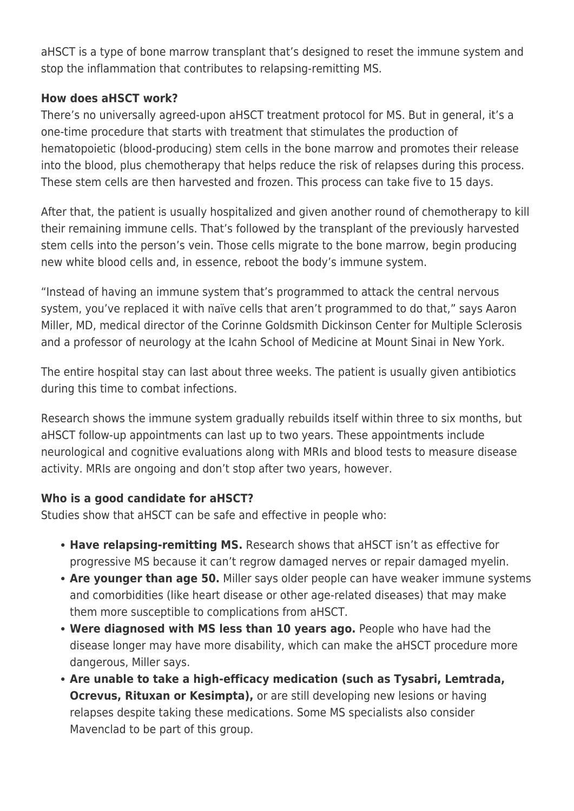aHSCT is a type of bone marrow transplant that's designed to reset the immune system and stop the inflammation that contributes to relapsing-remitting MS.

#### **How does aHSCT work?**

There's no universally agreed-upon aHSCT treatment protocol for MS. But in general, it's a one-time procedure that starts with treatment that stimulates the production of hematopoietic (blood-producing) stem cells in the bone marrow and promotes their release into the blood, plus chemotherapy that helps reduce the risk of relapses during this process. These stem cells are then harvested and frozen. This process can take five to 15 days.

After that, the patient is usually hospitalized and given another round of chemotherapy to kill their remaining immune cells. That's followed by the transplant of the previously harvested stem cells into the person's vein. Those cells migrate to the bone marrow, begin producing new white blood cells and, in essence, reboot the body's immune system.

"Instead of having an immune system that's programmed to attack the central nervous system, you've replaced it with naïve cells that aren't programmed to do that," says Aaron Miller, MD, medical director of the Corinne Goldsmith Dickinson Center for Multiple Sclerosis and a professor of neurology at the Icahn School of Medicine at Mount Sinai in New York.

The entire hospital stay can last about three weeks. The patient is usually given antibiotics during this time to combat infections.

Research shows the immune system gradually rebuilds itself within three to six months, but aHSCT follow-up appointments can last up to two years. These appointments include neurological and cognitive evaluations along with MRIs and blood tests to measure disease activity. MRIs are ongoing and don't stop after two years, however.

## **Who is a good candidate for aHSCT?**

Studies show that aHSCT can be safe and effective in people who:

- **Have relapsing-remitting MS.** Research shows that aHSCT isn't as effective for progressive MS because it can't regrow damaged nerves or repair damaged myelin.
- **Are younger than age 50.** Miller says older people can have weaker immune systems and comorbidities (like heart disease or other age-related diseases) that may make them more susceptible to complications from aHSCT.
- **Were diagnosed with MS less than 10 years ago.** People who have had the disease longer may have more disability, which can make the aHSCT procedure more dangerous, Miller says.
- **Are unable to take a high-efficacy medication (such as Tysabri, Lemtrada, Ocrevus, Rituxan or Kesimpta),** or are still developing new lesions or having relapses despite taking these medications. Some MS specialists also consider Mavenclad to be part of this group.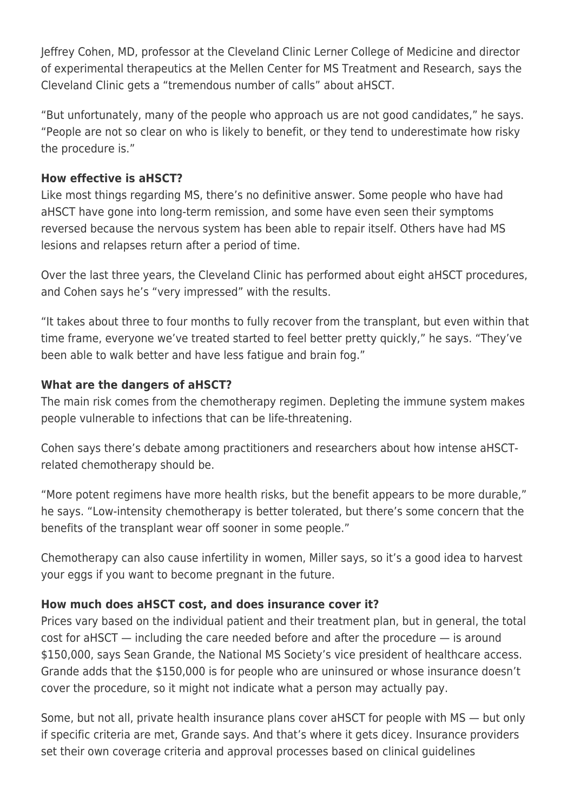Jeffrey Cohen, MD, professor at the Cleveland Clinic Lerner College of Medicine and director of experimental therapeutics at the Mellen Center for MS Treatment and Research, says the Cleveland Clinic gets a "tremendous number of calls" about aHSCT.

"But unfortunately, many of the people who approach us are not good candidates," he says. "People are not so clear on who is likely to benefit, or they tend to underestimate how risky the procedure is."

#### **How effective is aHSCT?**

Like most things regarding MS, there's no definitive answer. Some people who have had aHSCT have gone into long-term remission, and some have even seen their symptoms reversed because the nervous system has been able to repair itself. Others have had MS lesions and relapses return after a period of time.

Over the last three years, the Cleveland Clinic has performed about eight aHSCT procedures, and Cohen says he's "very impressed" with the results.

"It takes about three to four months to fully recover from the transplant, but even within that time frame, everyone we've treated started to feel better pretty quickly," he says. "They've been able to walk better and have less fatigue and brain fog."

# **What are the dangers of aHSCT?**

The main risk comes from the chemotherapy regimen. Depleting the immune system makes people vulnerable to infections that can be life-threatening.

Cohen says there's debate among practitioners and researchers about how intense aHSCTrelated chemotherapy should be.

"More potent regimens have more health risks, but the benefit appears to be more durable," he says. "Low-intensity chemotherapy is better tolerated, but there's some concern that the benefits of the transplant wear off sooner in some people."

Chemotherapy can also cause infertility in women, Miller says, so it's a good idea to harvest your eggs if you want to become pregnant in the future.

## **How much does aHSCT cost, and does insurance cover it?**

Prices vary based on the individual patient and their treatment plan, but in general, the total cost for aHSCT — including the care needed before and after the procedure — is around \$150,000, says Sean Grande, the National MS Society's vice president of healthcare access. Grande adds that the \$150,000 is for people who are uninsured or whose insurance doesn't cover the procedure, so it might not indicate what a person may actually pay.

Some, but not all, private health insurance plans cover aHSCT for people with MS — but only if specific criteria are met, Grande says. And that's where it gets dicey. Insurance providers set their own coverage criteria and approval processes based on clinical guidelines